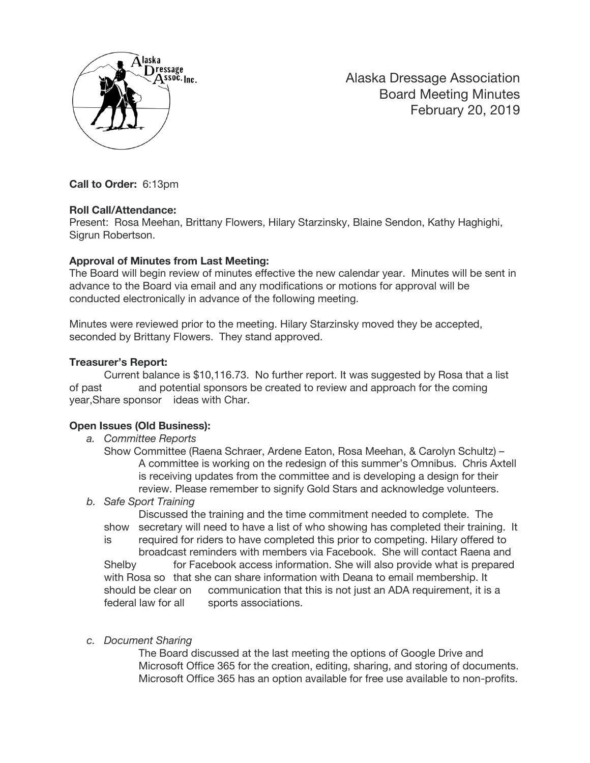

Alaska Dressage Association Board Meeting Minutes February 20, 2019

**Call to Order:** 6:13pm

#### **Roll Call/Attendance:**

Present: Rosa Meehan, Brittany Flowers, Hilary Starzinsky, Blaine Sendon, Kathy Haghighi, Sigrun Robertson.

## **Approval of Minutes from Last Meeting:**

The Board will begin review of minutes effective the new calendar year. Minutes will be sent in advance to the Board via email and any modifications or motions for approval will be conducted electronically in advance of the following meeting.

Minutes were reviewed prior to the meeting. Hilary Starzinsky moved they be accepted, seconded by Brittany Flowers. They stand approved.

#### **Treasurer's Report:**

Current balance is \$10,116.73. No further report. It was suggested by Rosa that a list of past and potential sponsors be created to review and approach for the coming year,Share sponsor ideas with Char.

## **Open Issues (Old Business):**

*a. Committee Reports*

Show Committee (Raena Schraer, Ardene Eaton, Rosa Meehan, & Carolyn Schultz) – A committee is working on the redesign of this summer's Omnibus. Chris Axtell is receiving updates from the committee and is developing a design for their review. Please remember to signify Gold Stars and acknowledge volunteers.

#### *b. Safe Sport Training*

Discussed the training and the time commitment needed to complete. The show secretary will need to have a list of who showing has completed their training. It is required for riders to have completed this prior to competing. Hilary offered to broadcast reminders with members via Facebook. She will contact Raena and Shelby for Facebook access information. She will also provide what is prepared

with Rosa so that she can share information with Deana to email membership. It should be clear on communication that this is not just an ADA requirement, it is a federal law for all sports associations.

## *c. Document Sharing*

The Board discussed at the last meeting the options of Google Drive and Microsoft Office 365 for the creation, editing, sharing, and storing of documents. Microsoft Office 365 has an option available for free use available to non-profits.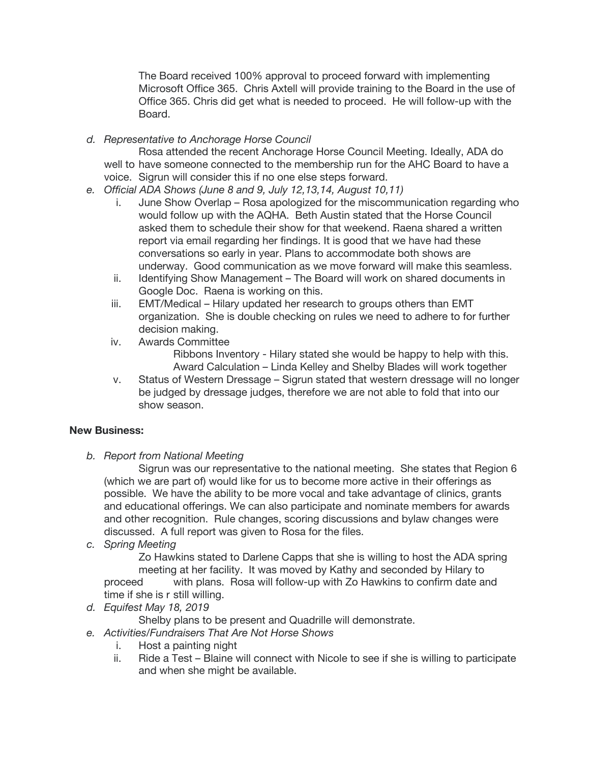The Board received 100% approval to proceed forward with implementing Microsoft Office 365. Chris Axtell will provide training to the Board in the use of Office 365. Chris did get what is needed to proceed. He will follow-up with the Board.

*d. Representative to Anchorage Horse Council*

Rosa attended the recent Anchorage Horse Council Meeting. Ideally, ADA do well to have someone connected to the membership run for the AHC Board to have a voice. Sigrun will consider this if no one else steps forward.

- *e. Official ADA Shows (June 8 and 9, July 12,13,14, August 10,11)*
	- i. June Show Overlap Rosa apologized for the miscommunication regarding who would follow up with the AQHA. Beth Austin stated that the Horse Council asked them to schedule their show for that weekend. Raena shared a written report via email regarding her findings. It is good that we have had these conversations so early in year. Plans to accommodate both shows are underway. Good communication as we move forward will make this seamless.
	- ii. Identifying Show Management The Board will work on shared documents in Google Doc. Raena is working on this.
	- iii. EMT/Medical Hilary updated her research to groups others than EMT organization. She is double checking on rules we need to adhere to for further decision making.
	- iv. Awards Committee

Ribbons Inventory - Hilary stated she would be happy to help with this. Award Calculation – Linda Kelley and Shelby Blades will work together

v. Status of Western Dressage – Sigrun stated that western dressage will no longer be judged by dressage judges, therefore we are not able to fold that into our show season.

# **New Business:**

*b. Report from National Meeting*

Sigrun was our representative to the national meeting. She states that Region 6 (which we are part of) would like for us to become more active in their offerings as possible. We have the ability to be more vocal and take advantage of clinics, grants and educational offerings. We can also participate and nominate members for awards and other recognition. Rule changes, scoring discussions and bylaw changes were discussed. A full report was given to Rosa for the files.

*c. Spring Meeting*

Zo Hawkins stated to Darlene Capps that she is willing to host the ADA spring meeting at her facility. It was moved by Kathy and seconded by Hilary to

proceed with plans. Rosa will follow-up with Zo Hawkins to confirm date and time if she is r still willing.

*d. Equifest May 18, 2019*

Shelby plans to be present and Quadrille will demonstrate.

- *e. Activities/Fundraisers That Are Not Horse Shows*
	- i. Host a painting night
	- ii. Ride a Test Blaine will connect with Nicole to see if she is willing to participate and when she might be available.